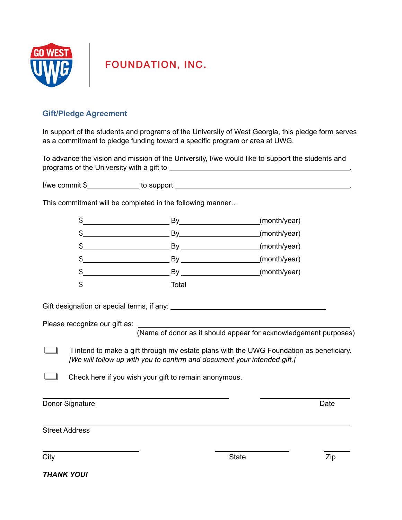

**FOUNDATION, INC.** 

## **Gift/Pledge Agreement**

In support of the students and programs of the University of West Georgia, this pledge form serves as a commitment to pledge funding toward a specific program or area at UWG.

To advance the vision and mission of the University, I/we would like to support the students and programs of the University with a gift to *noine in the set of the University* with a gift to *noine in the set of the set of the set of the set of the set of the set of the set of the set of the set of the set of the s* 

I/we commit \$ to support .

This commitment will be completed in the following manner…

| S  | By    | (month/year) |
|----|-------|--------------|
| \$ | Bv    | (month/year) |
| S  | By    | (month/year) |
| \$ |       | (month/year) |
| S  | By    | (month/year) |
| \$ | Total |              |

Gift designation or special terms, if any:

Please recognize our gift as:

(Name of donor as it should appear for acknowledgement purposes)

I intend to make a gift through my estate plans with the UWG Foundation as beneficiary. ┚ *[We will follow up with you to confirm and document your intended gift.]*

Check here if you wish your gift to remain anonymous.

Donor Signature Date **Date** 

Street Address

City **State City City State City City City City City City City City City City City City City City City City City City City City City City City City City City City** 

*THANK YOU!*